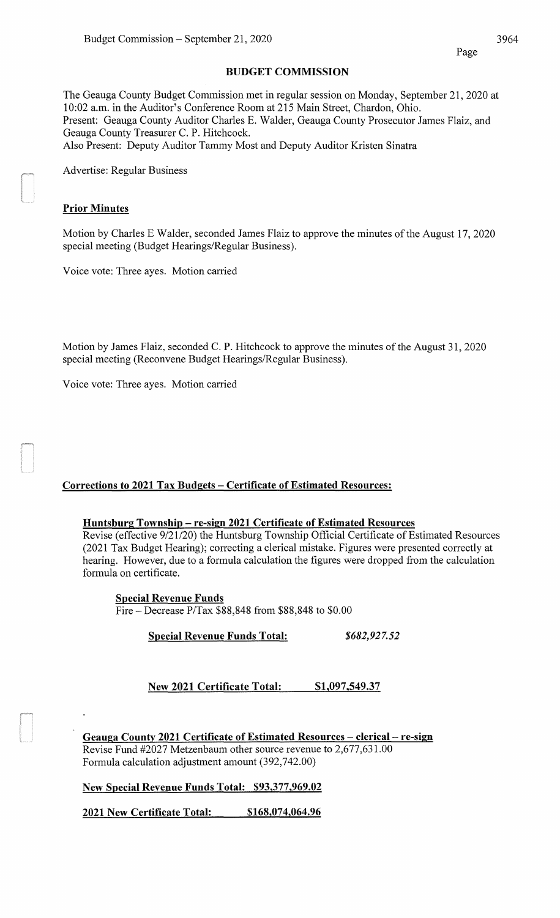#### BUDGET COMMISSION

The Geauga County Budget Commission met in regular session on Monday, September 21, 2020 at 10:02 a.m. in the Auditor's Conference Room at 215 Main Street, Chardon, Ohio. Present: Geauga County Auditor Charles E. Walder, Geauga County Prosecutor James Flaiz, and Geauga County Treasurer C. P. Hitchcock. Also Present: Deputy Auditor Tammy Most and Deputy Auditor Kristen Sinatra

Advertise: Regular Business

#### Prior Minutes

Motion by Charles E Walder, seconded James Flaiz to approve the minutes of the August 17, 2020 special meeting (Budget Hearings/Regular Business).

Voice vote: Three ayes. Motion carried

Motion by James Flaiz, seconded C. P. Hitchcock to approve the minutes of the August 31, 2020 special meeting (Reconvene Budget Hearings/Regular Business).

Voice vote: Three ayes. Motion carried

# Corrections to 2021 Tax Budgets- Certificate of Estimated Resources:

#### Huntsburg Township -re-sign 2021 Certificate of Estimated Resources

Revise (effective 9/21/20) the Huntsburg Township Official Certificate of Estimated Resources (2021 Tax Budget Hearing); correcting a clerical mistake. Figures were presented correctly at hearing. However, due to a formula calculation the figures were dropped from the calculation formula on certificate.

Special Revenue Funds

Fire- Decrease P/Tax \$88,848 from \$88,848 to \$0.00

Special Revenue Funds Total: *\$682,927.52* 

New 2021 Certificate Total: \$1,097,549.37

Geauga County 2021 Certificate of Estimated Resources - clerical - re-sign Revise Fund #2027 Metzenbaum other source revenue to 2,677,631.00 Formula calculation adjustment amount (392,742.00)

New Special Revenue Funds Total: \$93,377,969.02

2021 New Certificate Total: \$168,074,064.96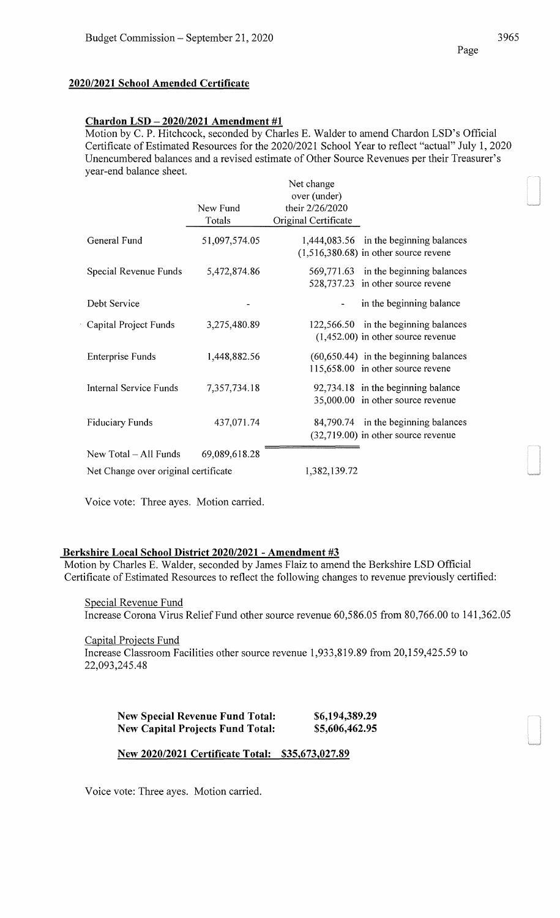# **2020/2021 School Amended Certificate**

# **Chardon LSD- 2020/2021 Amendment #1**

Motion by C. P. Hitchcock, seconded by Charles E. Walder to amend Chardon LSD's Official Certificate of Estimated Resources for the 2020/2021 School Year to reflect "actual" July 1, 2020 Unencumbered balances and a revised estimate of Other Source Revenues per their Treasurer's year-end balance sheet.

|                                      |               | Net change                               |
|--------------------------------------|---------------|------------------------------------------|
|                                      |               | over (under)                             |
|                                      | New Fund      | their 2/26/2020                          |
|                                      | Totals        | Original Certificate                     |
|                                      |               |                                          |
| General Fund                         | 51,097,574.05 | 1,444,083.56 in the beginning balances   |
|                                      |               | $(1,516,380.68)$ in other source revene  |
|                                      |               |                                          |
| Special Revenue Funds                | 5,472,874.86  | 569,771.63 in the beginning balances     |
|                                      |               | 528,737.23 in other source revene        |
|                                      |               |                                          |
| Debt Service                         |               | in the beginning balance                 |
|                                      |               |                                          |
| Capital Project Funds                | 3,275,480.89  | 122,566.50 in the beginning balances     |
|                                      |               |                                          |
|                                      |               | $(1,452.00)$ in other source revenue     |
| <b>Enterprise Funds</b>              | 1,448,882.56  | $(60, 650.44)$ in the beginning balances |
|                                      |               |                                          |
|                                      |               | 115,658.00 in other source revene        |
| Internal Service Funds               | 7,357,734.18  | 92,734.18 in the beginning balance       |
|                                      |               |                                          |
|                                      |               | 35,000.00 in other source revenue        |
|                                      |               |                                          |
| <b>Fiduciary Funds</b>               | 437,071.74    | 84,790.74 in the beginning balances      |
|                                      |               | $(32,719.00)$ in other source revenue    |
| New Total - All Funds                | 69,089,618.28 |                                          |
|                                      |               |                                          |
| Net Change over original certificate |               | 1,382,139.72                             |

Voice vote: Three ayes. Motion carried.

# **Berkshire Local School District 2020/2021- Amendment #3**

Motion by Charles E. Walder, seconded by James Flaiz to amend the Berkshire LSD Official Certificate of Estimated Resources to reflect the following changes to revenue previously certified:

Special Revenue Fund Increase Corona Virus Relief Fund other source revenue 60,586.05 from 80,766.00 to 141,362.05

Capital Projects Fund Increase Classroom Facilities other source revenue 1,933,819.89 from 20,159,425.59 to 22,093,245.48

| <b>New Special Revenue Fund Total:</b>  | \$6,194,389.29 |
|-----------------------------------------|----------------|
| <b>New Capital Projects Fund Total:</b> | \$5,606,462.95 |

**New 2020/2021 Certificate Total: \$35,673,027.89** 

Voice vote: Three ayes. Motion carried.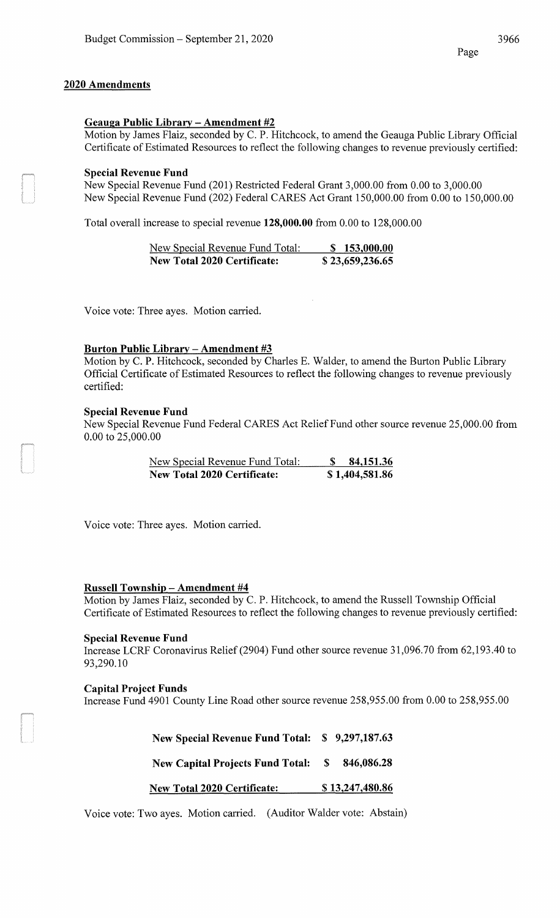# **2020 Amendments**

# **Geauga Public Library - Amendment #2**

Motion by James Flaiz, seconded by C. P. Hitchcock, to amend the Geauga Public Library Official Certificate of Estimated Resources to reflect the following changes to revenue previously certified:

#### **Special Revenue Fund**

New Special Revenue Fund (201) Restricted Federal Grant 3,000.00 from 0.00 to 3,000.00 New Special Revenue Fund (202) Federal CARES Act Grant 150,000.00 from 0.00 to 150,000.00

Total overall increase to special revenue **128,000.00** from 0.00 to 128,000.00

| New Special Revenue Fund Total:    | \$153,000.00    |
|------------------------------------|-----------------|
| <b>New Total 2020 Certificate:</b> | \$23,659,236.65 |

Voice vote: Three ayes. Motion carried.

#### **Burton Public Library - Amendment #3**

Motion by C. P. Hitchcock, seconded by Charles E. Walder, to amend the Burton Public Library Official Certificate of Estimated Resources to reflect the following changes to revenue previously certified:

#### **Special Revenue Fund**

New Special Revenue Fund Federal CARES Act Relief Fund other source revenue 25,000.00 from 0.00 to 25,000.00

| New Special Revenue Fund Total:    | 84,151.36      |
|------------------------------------|----------------|
| <b>New Total 2020 Certificate:</b> | \$1,404,581.86 |

Voice vote: Three ayes. Motion carried.

# **Russell Township- Amendment #4**

Motion by James Flaiz, seconded by C. P. Hitchcock, to amend the Russell Township Official Certificate of Estimated Resources to reflect the following changes to revenue previously certified:

# **Special Revenue Fund**

Increase LCRF Coronavirus Relief(2904) Fund other source revenue 31,096.70 from 62,193.40 to 93,290.10

#### **Capital Project Funds**

Increase Fund 4901 County Line Road other source revenue 258,955.00 from 0.00 to 258,955.00

**New Special Revenue Fund Total: \$ 9,297,187.63 New Capital Projects Fund Total: \$ 846,086.28** 

**New Total2020 Certificate:** \$ **13,247,480.86** 

Voice vote: Two ayes. Motion carried. (Auditor Walder vote: Abstain)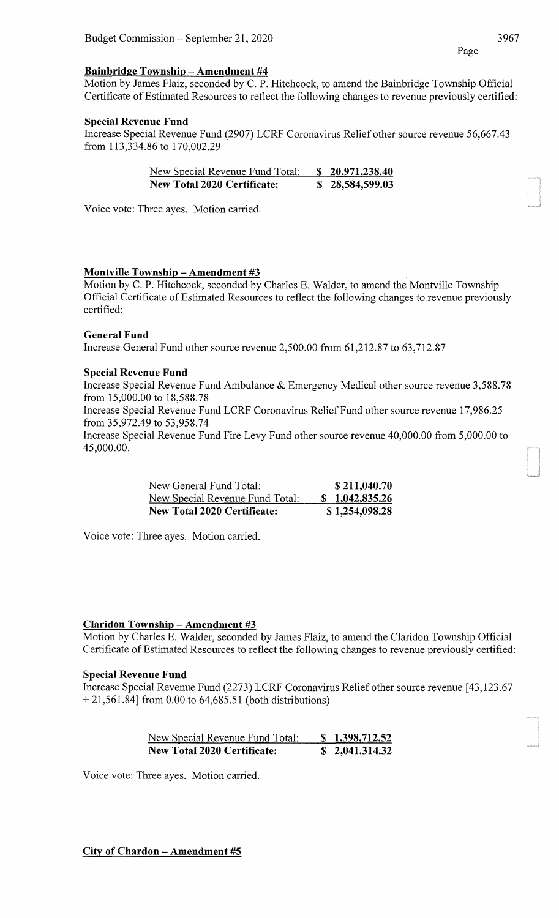# **Bainbridge Township- Amendment #4**

Motion by James Flaiz, seconded by C. P. Hitchcock, to amend the Bainbridge Township Official Certificate of Estimated Resources to reflect the following changes to revenue previously certified:

# **Special Revenue Fund**

Increase Special Revenue Fund (2907) LCRF Coronavirus Relief other source revenue 56,667.43 from 113,334.86 to 170,002.29

| New Special Revenue Fund Total:    | \$20,971,238.40 |
|------------------------------------|-----------------|
| <b>New Total 2020 Certificate:</b> | \$28,584,599.03 |

Voice vote: Three ayes. Motion carried.

# **Montville Township -Amendment #3**

Motion by C. P. Hitchcock, seconded by Charles E. Walder, to amend the Montville Township Official Certificate of Estimated Resources to reflect the following changes to revenue previously certified:

# **General Fund**

Increase General Fund other source revenue 2,500.00 from 61,212.87 to 63,712.87

# **Special Revenue Fund**

Increase Special Revenue Fund Ambulance & Emergency Medical other source revenue 3,588.78 from 15,000.00 to 18,588.78

Increase Special Revenue Fund LCRF Coronavirus Relief Fund other source revenue 17,986.25 from 35,972.49 to 53,958.74

Increase Special Revenue Fund Fire Levy Fund other source revenue 40,000.00 from 5,000.00 to 45,000.00.

| New General Fund Total:            | \$211,040.70   |
|------------------------------------|----------------|
| New Special Revenue Fund Total:    | \$1,042,835.26 |
| <b>New Total 2020 Certificate:</b> | \$1,254,098.28 |

Voice vote: Three ayes. Motion carried.

# **Claridon Township- Amendment #3**

Motion by Charles E. Walder, seconded by James Flaiz, to amend the Claridon Township Official Certificate of Estimated Resources to reflect the following changes to revenue previously certified:

# **Special Revenue Fund**

Increase Special Revenue Fund (2273) LCRF Coronavirus Relief other source revenue [43,123.67 + 21,561.84] from 0.00 to 64,685.51 (both distributions)

| New Special Revenue Fund Total:    | \$1,398,712.52 |
|------------------------------------|----------------|
| <b>New Total 2020 Certificate:</b> | \$2,041.314.32 |

Voice vote: Three ayes. Motion carried.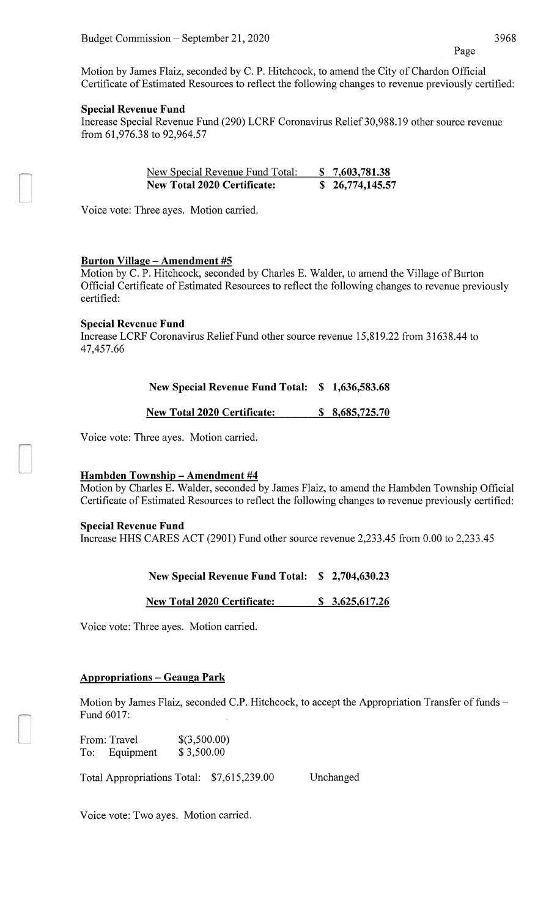Motion by James Flaiz, seconded by C. P. Hitchcock, to amend the City of Chardon Official Certificate of Estimated Resources to reflect the following changes to revenue previously certified:

#### **Special Revenue Fund**

Increase Special Revenue Fund (290) LCRF Coronavirus Relief 30,988.19 other source revenue from 61,976.38 to 92,964.57

| New Special Revenue Fund Total:    | \$7,603,781.38  |
|------------------------------------|-----------------|
| <b>New Total 2020 Certificate:</b> | \$26,774,145.57 |

Voice vote: Three ayes. Motion carried.

# **Burton Village- Amendment #5**

Motion by C. P. Hitchcock, seconded by Charles E. Walder, to amend the Village of Burton Official Certificate of Estimated Resources to reflect the following changes to revenue previously certified:

#### **Special Revenue Fund**

Increase LCRF Coronavirus Relief Fund other source revenue 15,819.22 from 31638.44 to 47,457.66

| New Special Revenue Fund Total: \$ 1,636,583.68 |  |
|-------------------------------------------------|--|
|                                                 |  |

**New Total2020 Certificate:** \$ **8,685, 725.70** 

Voice vote: Three ayes. Motion carried.

# **Hambden Township - Amendment #4**

Motion by Charles E. Walder, seconded by James Flaiz, to amend the Hambden Township Official Certificate of Estimated Resources to reflect the following changes to revenue previously certified:

#### **Special Revenue Fund**

Increase HHS CARES ACT (2901) Fund other source revenue 2,233.45 from 0.00 to 2,233.45

# **New Special Revenue Fund Total: \$ 2,704,630.23**

**New Total2020 Certificate:** \$ **3,625,617.26** 

Voice vote: Three ayes. Motion carried.

# **Appropriations - Geauga Park**

Motion by James Flaiz, seconded C.P. Hitchcock, to accept the Appropriation Transfer of funds -Fund 6017:

From: Travel To: Equipment \$(3,500.00) \$ 3,500.00

Total Appropriations Total: \$7,615,239.00 Unchanged

Voice vote: Two ayes. Motion carried.